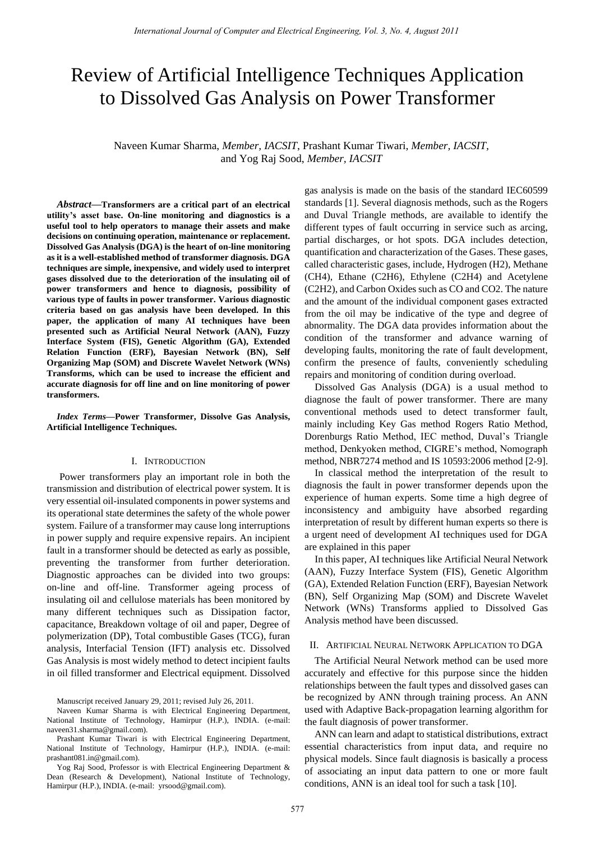# Review of Artificial Intelligence Techniques Application to Dissolved Gas Analysis on Power Transformer

Naveen Kumar Sharma, *Member, IACSIT*, Prashant Kumar Tiwari, *Member, IACSIT,* and Yog Raj Sood, *Member, IACSIT*

*Abstract***—Transformers are a critical part of an electrical utility's asset base. On-line monitoring and diagnostics is a useful tool to help operators to manage their assets and make decisions on continuing operation, maintenance or replacement. Dissolved Gas Analysis (DGA) is the heart of on-line monitoring as it is a well-established method of transformer diagnosis. DGA techniques are simple, inexpensive, and widely used to interpret gases dissolved due to the deterioration of the insulating oil of power transformers and hence to diagnosis, possibility of various type of faults in power transformer. Various diagnostic criteria based on gas analysis have been developed. In this paper, the application of many AI techniques have been presented such as Artificial Neural Network (AAN), Fuzzy Interface System (FIS), Genetic Algorithm (GA), Extended Relation Function (ERF), Bayesian Network (BN), Self Organizing Map (SOM) and Discrete Wavelet Network (WNs) Transforms, which can be used to increase the efficient and accurate diagnosis for off line and on line monitoring of power transformers.**

*Index Terms***—Power Transformer, Dissolve Gas Analysis, Artificial Intelligence Techniques.**

## I. INTRODUCTION

 Power transformers play an important role in both the transmission and distribution of electrical power system. It is very essential oil-insulated components in power systems and its operational state determines the safety of the whole power system. Failure of a transformer may cause long interruptions in power supply and require expensive repairs. An incipient fault in a transformer should be detected as early as possible, preventing the transformer from further deterioration. Diagnostic approaches can be divided into two groups: on-line and off-line. Transformer ageing process of insulating oil and cellulose materials has been monitored by many different techniques such as Dissipation factor, capacitance, Breakdown voltage of oil and paper, Degree of polymerization (DP), Total combustible Gases (TCG), furan analysis, Interfacial Tension (IFT) analysis etc. Dissolved Gas Analysis is most widely method to detect incipient faults in oil filled transformer and Electrical equipment. Dissolved Normational Journal of Computer and Electrical Engineering, Vol. 3, No. 4, August 2011<br>
SSO IVed Gas Analysis on Power Transfor-<br>
international Member, *LACSII*; Prashamic Member, *LACSII*; Prashamic Kurmal Twart, *Member,* 

gas analysis is made on the basis of the standard IEC60599 standards [1]. Several diagnosis methods, such as the Rogers and Duval Triangle methods, are available to identify the different types of fault occurring in service such as arcing, partial discharges, or hot spots. DGA includes detection, quantification and characterization of the Gases. These gases, called characteristic gases, include, Hydrogen (H2), Methane (CH4), Ethane (C2H6), Ethylene (C2H4) and Acetylene (C2H2), and Carbon Oxides such as CO and CO2. The nature and the amount of the individual component gases extracted from the oil may be indicative of the type and degree of abnormality. The DGA data provides information about the condition of the transformer and advance warning of developing faults, monitoring the rate of fault development, confirm the presence of faults, conveniently scheduling repairs and monitoring of condition during overload.

Dissolved Gas Analysis (DGA) is a usual method to diagnose the fault of power transformer. There are many conventional methods used to detect transformer fault, mainly including Key Gas method Rogers Ratio Method, Dorenburgs Ratio Method, IEC method, Duval's Triangle method, Denkyoken method, CIGRE's method, Nomograph method, NBR7274 method and IS 10593:2006 method [2-9].

In classical method the interpretation of the result to diagnosis the fault in power transformer depends upon the experience of human experts. Some time a high degree of inconsistency and ambiguity have absorbed regarding interpretation of result by different human experts so there is a urgent need of development AI techniques used for DGA are explained in this paper

In this paper, AI techniques like Artificial Neural Network (AAN), Fuzzy Interface System (FIS), Genetic Algorithm (GA), Extended Relation Function (ERF), Bayesian Network (BN), Self Organizing Map (SOM) and Discrete Wavelet Network (WNs) Transforms applied to Dissolved Gas Analysis method have been discussed.

## II. ARTIFICIAL NEURAL NETWORK APPLICATION TO DGA

The Artificial Neural Network method can be used more accurately and effective for this purpose since the hidden relationships between the fault types and dissolved gases can be recognized by ANN through training process. An ANN used with Adaptive Back-propagation learning algorithm for the fault diagnosis of power transformer.

ANN can learn and adapt to statistical distributions, extract essential characteristics from input data, and require no physical models. Since fault diagnosis is basically a process of associating an input data pattern to one or more fault conditions, ANN is an ideal tool for such a task [10].

Manuscript received January 29, 2011; revised July 26, 2011.

Naveen Kumar Sharma is with Electrical Engineering Department, National Institute of Technology, Hamirpur (H.P.), INDIA. (e-mail: naveen31.sharma@gmail.com).

Prashant Kumar Tiwari is with Electrical Engineering Department, National Institute of Technology, Hamirpur (H.P.), INDIA. (e-mail: prashant081.in@gmail.com).

Yog Raj Sood, Professor is with Electrical Engineering Department & Dean (Research & Development), National Institute of Technology, Hamirpur (H.P.), INDIA. (e-mail: yrsood@gmail.com).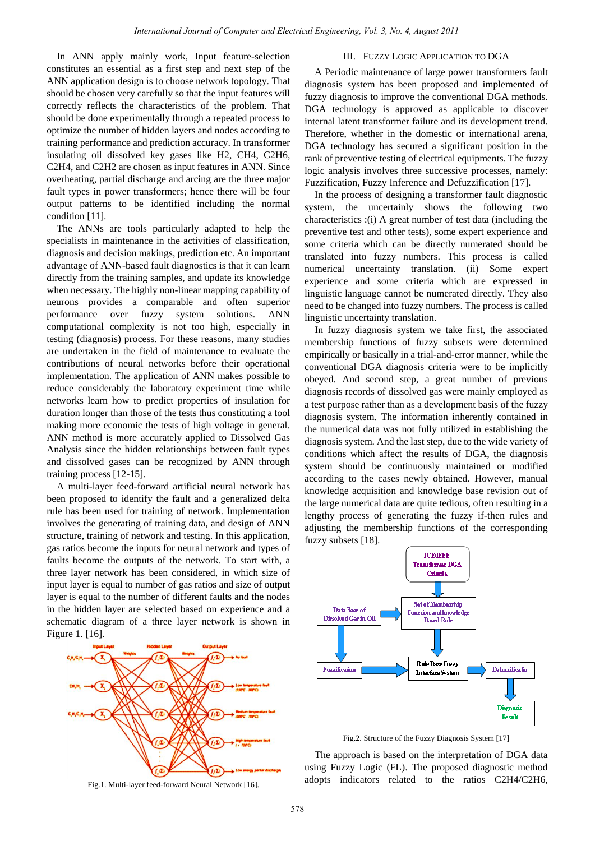In ANN apply mainly work, Input feature-selection constitutes an essential as a first step and next step of the ANN application design is to choose network topology. That should be chosen very carefully so that the input features will correctly reflects the characteristics of the problem. That should be done experimentally through a repeated process to optimize the number of hidden layers and nodes according to training performance and prediction accuracy. In transformer insulating oil dissolved key gases like H2, CH4, C2H6, C2H4, and C2H2 are chosen as input features in ANN. Since overheating, partial discharge and arcing are the three major fault types in power transformers; hence there will be four output patterns to be identified including the normal condition [11].

The ANNs are tools particularly adapted to help the specialists in maintenance in the activities of classification, diagnosis and decision makings, prediction etc. An important advantage of ANN-based fault diagnostics is that it can learn directly from the training samples, and update its knowledge when necessary. The highly non-linear mapping capability of neurons provides a comparable and often superior performance over fuzzy system solutions. ANN computational complexity is not too high, especially in testing (diagnosis) process. For these reasons, many studies are undertaken in the field of maintenance to evaluate the contributions of neural networks before their operational implementation. The application of ANN makes possible to reduce considerably the laboratory experiment time while networks learn how to predict properties of insulation for duration longer than those of the tests thus constituting a tool making more economic the tests of high voltage in general. ANN method is more accurately applied to Dissolved Gas Analysis since the hidden relationships between fault types and dissolved gases can be recognized by ANN through training process [12-15]. Now may have also in the set of the set of the set of the set of the set of the set of the set of the set of the set of the set of the set of the set of the set of the set of the set of the set of the set of the set of th

A multi-layer feed-forward artificial neural network has been proposed to identify the fault and a generalized delta rule has been used for training of network. Implementation involves the generating of training data, and design of ANN structure, training of network and testing. In this application, gas ratios become the inputs for neural network and types of faults become the outputs of the network. To start with, a three layer network has been considered, in which size of input layer is equal to number of gas ratios and size of output layer is equal to the number of different faults and the nodes in the hidden layer are selected based on experience and a schematic diagram of a three layer network is shown in Figure 1. [16].



## Fig.1. Multi-layer feed-forward Neural Network [16].

## III. FUZZY LOGIC APPLICATION TO DGA

A Periodic maintenance of large power transformers fault diagnosis system has been proposed and implemented of fuzzy diagnosis to improve the conventional DGA methods. DGA technology is approved as applicable to discover internal latent transformer failure and its development trend. Therefore, whether in the domestic or international arena, DGA technology has secured a significant position in the rank of preventive testing of electrical equipments. The fuzzy logic analysis involves three successive processes, namely: Fuzzification, Fuzzy Inference and Defuzzification [17].

In the process of designing a transformer fault diagnostic system, the uncertainly shows the following two characteristics :(i) A great number of test data (including the preventive test and other tests), some expert experience and some criteria which can be directly numerated should be translated into fuzzy numbers. This process is called numerical uncertainty translation. (ii) Some expert experience and some criteria which are expressed in linguistic language cannot be numerated directly. They also need to be changed into fuzzy numbers. The process is called linguistic uncertainty translation.

In fuzzy diagnosis system we take first, the associated membership functions of fuzzy subsets were determined empirically or basically in a trial-and-error manner, while the conventional DGA diagnosis criteria were to be implicitly obeyed. And second step, a great number of previous diagnosis records of dissolved gas were mainly employed as a test purpose rather than as a development basis of the fuzzy diagnosis system. The information inherently contained in the numerical data was not fully utilized in establishing the diagnosis system. And the last step, due to the wide variety of conditions which affect the results of DGA, the diagnosis system should be continuously maintained or modified according to the cases newly obtained. However, manual knowledge acquisition and knowledge base revision out of the large numerical data are quite tedious, often resulting in a lengthy process of generating the fuzzy if-then rules and adjusting the membership functions of the corresponding fuzzy subsets [18].



Fig.2. Structure of the Fuzzy Diagnosis System [17]

The approach is based on the interpretation of DGA data using Fuzzy Logic (FL). The proposed diagnostic method adopts indicators related to the ratios C2H4/C2H6,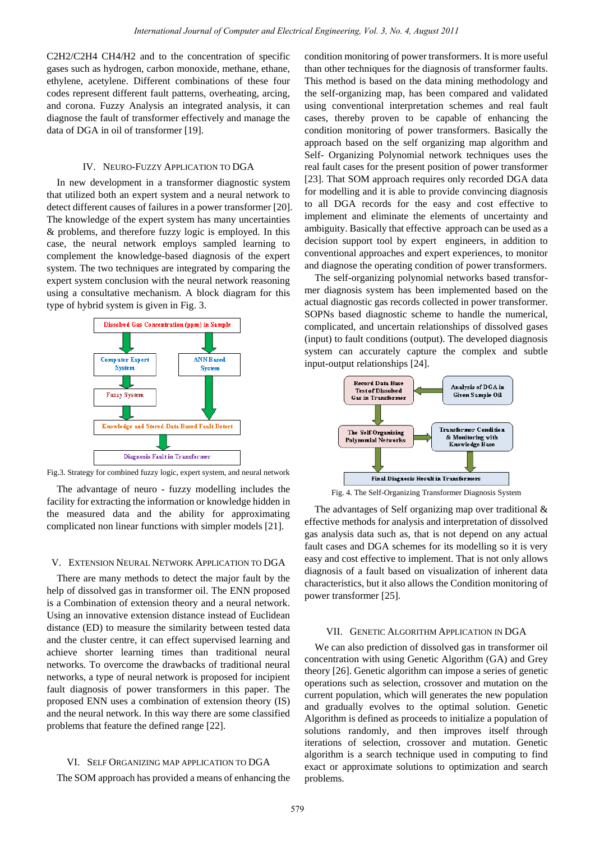C2H2/C2H4 CH4/H2 and to the concentration of specific gases such as hydrogen, carbon monoxide, methane, ethane, ethylene, acetylene. Different combinations of these four codes represent different fault patterns, overheating, arcing, and corona. Fuzzy Analysis an integrated analysis, it can diagnose the fault of transformer effectively and manage the data of DGA in oil of transformer [19].

### IV. NEURO-FUZZY APPLICATION TO DGA

In new development in a transformer diagnostic system that utilized both an expert system and a neural network to detect different causes of failures in a power transformer [20]. The knowledge of the expert system has many uncertainties & problems, and therefore fuzzy logic is employed. In this case, the neural network employs sampled learning to complement the knowledge-based diagnosis of the expert system. The two techniques are integrated by comparing the expert system conclusion with the neural network reasoning using a consultative mechanism. A block diagram for this type of hybrid system is given in Fig. 3.



Fig.3. Strategy for combined fuzzy logic, expert system, and neural network

The advantage of neuro - fuzzy modelling includes the facility for extracting the information or knowledge hidden in the measured data and the ability for approximating complicated non linear functions with simpler models [21].

## V. EXTENSION NEURAL NETWORK APPLICATION TO DGA

There are many methods to detect the major fault by the help of dissolved gas in transformer oil. The ENN proposed is a Combination of extension theory and a neural network. Using an innovative extension distance instead of Euclidean distance (ED) to measure the similarity between tested data and the cluster centre, it can effect supervised learning and achieve shorter learning times than traditional neural networks. To overcome the drawbacks of traditional neural networks, a type of neural network is proposed for incipient fault diagnosis of power transformers in this paper. The proposed ENN uses a combination of extension theory (IS) and the neural network. In this way there are some classified problems that feature the defined range [22].

## VI. SELF ORGANIZING MAP APPLICATION TO DGA

The SOM approach has provided a means of enhancing the

condition monitoring of power transformers. It is more useful than other techniques for the diagnosis of transformer faults. This method is based on the data mining methodology and the self-organizing map, has been compared and validated using conventional interpretation schemes and real fault cases, thereby proven to be capable of enhancing the condition monitoring of power transformers. Basically the approach based on the self organizing map algorithm and Self- Organizing Polynomial network techniques uses the real fault cases for the present position of power transformer [23]. That SOM approach requires only recorded DGA data for modelling and it is able to provide convincing diagnosis to all DGA records for the easy and cost effective to implement and eliminate the elements of uncertainty and ambiguity. Basically that effective approach can be used as a decision support tool by expert engineers, in addition to conventional approaches and expert experiences, to monitor and diagnose the operating condition of power transformers. Now mathematic the continuous of Computer and Electrical Computer and the continuous of the computer and other continuous of the computer and  $\alpha$  and the computer and the computer and the computer and the computer and th

The self-organizing polynomial networks based transformer diagnosis system has been implemented based on the actual diagnostic gas records collected in power transformer. SOPNs based diagnostic scheme to handle the numerical, complicated, and uncertain relationships of dissolved gases (input) to fault conditions (output). The developed diagnosis system can accurately capture the complex and subtle input-output relationships [24].



Fig. 4. The Self-Organizing Transformer Diagnosis System

The advantages of Self organizing map over traditional & effective methods for analysis and interpretation of dissolved gas analysis data such as, that is not depend on any actual fault cases and DGA schemes for its modelling so it is very easy and cost effective to implement. That is not only allows diagnosis of a fault based on visualization of inherent data characteristics, but it also allows the Condition monitoring of power transformer [25].

## VII. GENETIC ALGORITHM APPLICATION IN DGA

We can also prediction of dissolved gas in transformer oil concentration with using Genetic Algorithm (GA) and Grey theory [26]. Genetic algorithm can impose a series of genetic operations such as selection, crossover and mutation on the current population, which will generates the new population and gradually evolves to the optimal solution. Genetic Algorithm is defined as proceeds to initialize a population of solutions randomly, and then improves itself through iterations of selection, crossover and mutation. Genetic algorithm is a search technique used in computing to find exact or approximate solutions to optimization and search problems.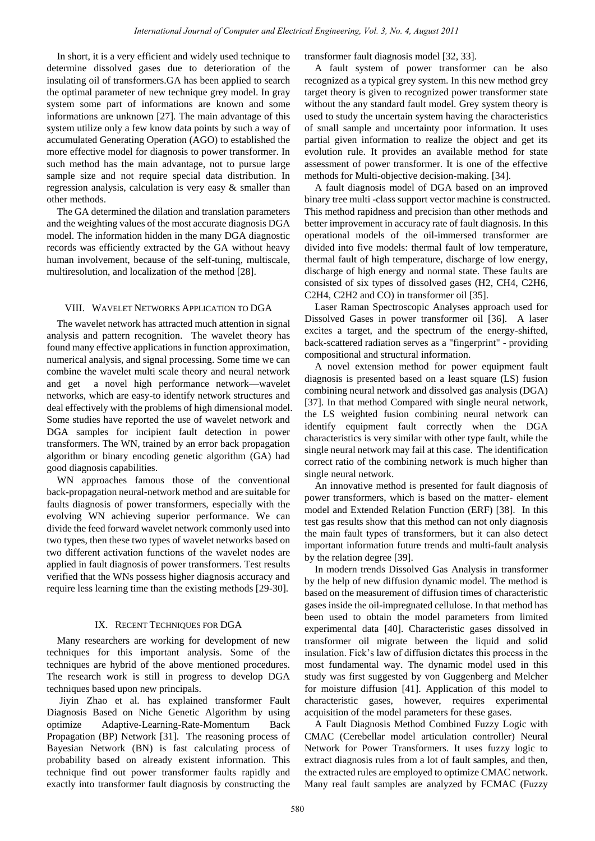In short, it is a very efficient and widely used technique to determine dissolved gases due to deterioration of the insulating oil of transformers.GA has been applied to search the optimal parameter of new technique grey model. In gray system some part of informations are known and some informations are unknown [27]. The main advantage of this system utilize only a few know data points by such a way of accumulated Generating Operation (AGO) to established the more effective model for diagnosis to power transformer. In such method has the main advantage, not to pursue large sample size and not require special data distribution. In regression analysis, calculation is very easy & smaller than other methods.

The GA determined the dilation and translation parameters and the weighting values of the most accurate diagnosis DGA model. The information hidden in the many DGA diagnostic records was efficiently extracted by the GA without heavy human involvement, because of the self-tuning, multiscale, multiresolution, and localization of the method [28].

# VIII. WAVELET NETWORKS APPLICATION TO DGA

The wavelet network has attracted much attention in signal analysis and pattern recognition. The wavelet theory has found many effective applications in function approximation, numerical analysis, and signal processing. Some time we can combine the wavelet multi scale theory and neural network and get a novel high performance network—wavelet networks, which are easy-to identify network structures and deal effectively with the problems of high dimensional model. Some studies have reported the use of wavelet network and DGA samples for incipient fault detection in power transformers. The WN, trained by an error back propagation algorithm or binary encoding genetic algorithm (GA) had good diagnosis capabilities. Normational Journal of Computer ond Electrical International Spherering Coli 3, No. 4, August 2011<br>
grass, the to detectrical of the Northern Coli 1. No and 12, No and 12, No<br>
grass concert to the conformer Control of the

WN approaches famous those of the conventional back-propagation neural-network method and are suitable for faults diagnosis of power transformers, especially with the evolving WN achieving superior performance. We can divide the feed forward wavelet network commonly used into two types, then these two types of wavelet networks based on two different activation functions of the wavelet nodes are applied in fault diagnosis of power transformers. Test results verified that the WNs possess higher diagnosis accuracy and require less learning time than the existing methods [29-30].

# IX. RECENT TECHNIQUES FOR DGA

Many researchers are working for development of new techniques for this important analysis. Some of the techniques are hybrid of the above mentioned procedures. The research work is still in progress to develop DGA techniques based upon new principals.

 Jiyin Zhao et al. has explained transformer Fault Diagnosis Based on Niche Genetic Algorithm by using optimize Adaptive-Learning-Rate-Momentum Back Propagation (BP) Network [31]. The reasoning process of Bayesian Network (BN) is fast calculating process of probability based on already existent information. This technique find out power transformer faults rapidly and exactly into transformer fault diagnosis by constructing the

transformer fault diagnosis model [32, 33].

A fault system of power transformer can be also recognized as a typical grey system. In this new method grey target theory is given to recognized power transformer state without the any standard fault model. Grey system theory is used to study the uncertain system having the characteristics of small sample and uncertainty poor information. It uses partial given information to realize the object and get its evolution rule. It provides an available method for state assessment of power transformer. It is one of the effective methods for Multi-objective decision-making. [34].

A fault diagnosis model of DGA based on an improved binary tree multi -class support vector machine is constructed. This method rapidness and precision than other methods and better improvement in accuracy rate of fault diagnosis. In this operational models of the oil-immersed transformer are divided into five models: thermal fault of low temperature, thermal fault of high temperature, discharge of low energy, discharge of high energy and normal state. These faults are consisted of six types of dissolved gases (H2, CH4, C2H6, C2H4, C2H2 and CO) in transformer oil [35].

Laser Raman Spectroscopic Analyses approach used for Dissolved Gases in power transformer oil [36]. A laser excites a target, and the spectrum of the energy-shifted, back-scattered radiation serves as a "fingerprint" - providing compositional and structural information.

A novel extension method for power equipment fault diagnosis is presented based on a least square (LS) fusion combining neural network and dissolved gas analysis (DGA) [37]. In that method Compared with single neural network, the LS weighted fusion combining neural network can identify equipment fault correctly when the DGA characteristics is very similar with other type fault, while the single neural network may fail at this case. The identification correct ratio of the combining network is much higher than single neural network.

An innovative method is presented for fault diagnosis of power transformers, which is based on the matter- element model and Extended Relation Function (ERF) [38]. In this test gas results show that this method can not only diagnosis the main fault types of transformers, but it can also detect important information future trends and multi-fault analysis by the relation degree [39].

In modern trends Dissolved Gas Analysis in transformer by the help of new diffusion dynamic model. The method is based on the measurement of diffusion times of characteristic gases inside the oil-impregnated cellulose. In that method has been used to obtain the model parameters from limited experimental data [40]. Characteristic gases dissolved in transformer oil migrate between the liquid and solid insulation. Fick's law of diffusion dictates this process in the most fundamental way. The dynamic model used in this study was first suggested by von Guggenberg and Melcher for moisture diffusion [41]. Application of this model to characteristic gases, however, requires experimental acquisition of the model parameters for these gases.

A Fault Diagnosis Method Combined Fuzzy Logic with CMAC (Cerebellar model articulation controller) Neural Network for Power Transformers. It uses fuzzy logic to extract diagnosis rules from a lot of fault samples, and then, the extracted rules are employed to optimize CMAC network. Many real fault samples are analyzed by FCMAC (Fuzzy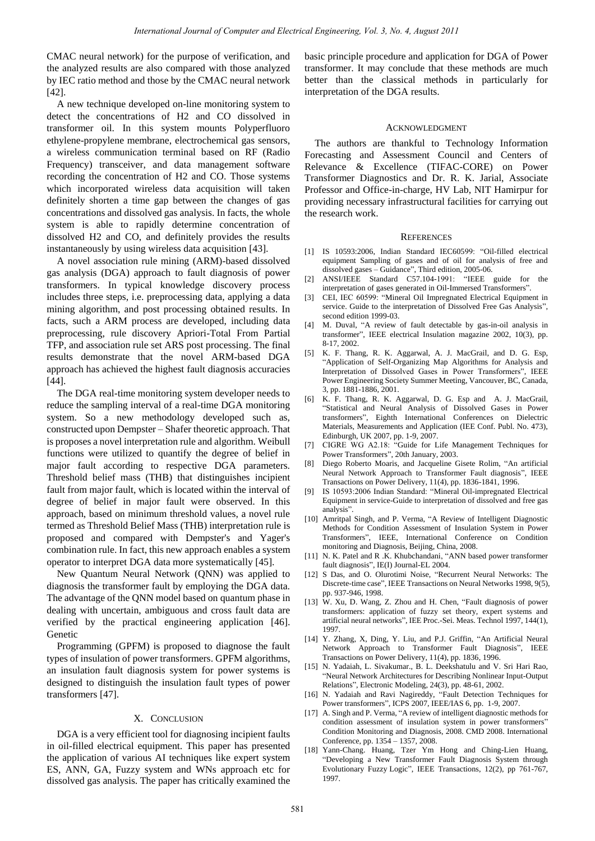CMAC neural network) for the purpose of verification, and the analyzed results are also compared with those analyzed by IEC ratio method and those by the CMAC neural network [42].

A new technique developed on-line monitoring system to detect the concentrations of H2 and CO dissolved in transformer oil. In this system mounts Polyperfluoro ethylene-propylene membrane, electrochemical gas sensors, a wireless communication terminal based on RF (Radio Frequency) transceiver, and data management software recording the concentration of H2 and CO. Those systems which incorporated wireless data acquisition will taken definitely shorten a time gap between the changes of gas concentrations and dissolved gas analysis. In facts, the whole system is able to rapidly determine concentration of dissolved H2 and CO, and definitely provides the results instantaneously by using wireless data acquisition [43].

A novel association rule mining (ARM)-based dissolved gas analysis (DGA) approach to fault diagnosis of power transformers. In typical knowledge discovery process includes three steps, i.e. preprocessing data, applying a data mining algorithm, and post processing obtained results. In facts, such a ARM process are developed, including data preprocessing, rule discovery Apriori-Total From Partial TFP, and association rule set ARS post processing. The final results demonstrate that the novel ARM-based DGA approach has achieved the highest fault diagnosis accuracies [44].

The DGA real-time monitoring system developer needs to reduce the sampling interval of a real-time DGA monitoring system. So a new methodology developed such as, constructed upon Dempster – Shafer theoretic approach. That is proposes a novel interpretation rule and algorithm. Weibull functions were utilized to quantify the degree of belief in major fault according to respective DGA parameters. Threshold belief mass (THB) that distinguishes incipient fault from major fault, which is located within the interval of degree of belief in major fault were observed. In this approach, based on minimum threshold values, a novel rule termed as Threshold Belief Mass (THB) interpretation rule is proposed and compared with Dempster's and Yager's combination rule. In fact, this new approach enables a system operator to interpret DGA data more systematically [45]. Now the international Journal of Computer and Poisontal Journal international Journal International Journal International Journal International Journal International Journal International Journal International Internation

New Quantum Neural Network (QNN) was applied to diagnosis the transformer fault by employing the DGA data. The advantage of the QNN model based on quantum phase in dealing with uncertain, ambiguous and cross fault data are verified by the practical engineering application [46]. Genetic

Programming (GPFM) is proposed to diagnose the fault types of insulation of power transformers. GPFM algorithms, an insulation fault diagnosis system for power systems is designed to distinguish the insulation fault types of power transformers [47].

## X. CONCLUSION

DGA is a very efficient tool for diagnosing incipient faults in oil-filled electrical equipment. This paper has presented the application of various AI techniques like expert system ES, ANN, GA, Fuzzy system and WNs approach etc for dissolved gas analysis. The paper has critically examined the

basic principle procedure and application for DGA of Power transformer. It may conclude that these methods are much better than the classical methods in particularly for interpretation of the DGA results.

### ACKNOWLEDGMENT

The authors are thankful to Technology Information Forecasting and Assessment Council and Centers of Relevance & Excellence (TIFAC-CORE) on Power Transformer Diagnostics and Dr. R. K. Jarial, Associate Professor and Office-in-charge, HV Lab, NIT Hamirpur for providing necessary infrastructural facilities for carrying out the research work.

#### **REFERENCES**

- [1] IS 10593:2006, Indian Standard IEC60599: "Oil-filled electrical equipment Sampling of gases and of oil for analysis of free and dissolved gases – Guidance", Third edition,  $2005-06$ .
- [2] ANSI/IEEE Standard C57.104-1991: "IEEE guide for the interpretation of gases generated in Oil-Immersed Transformers".
- [3] CEI, IEC 60599: "Mineral Oil Impregnated Electrical Equipment in service. Guide to the interpretation of Dissolved Free Gas Analysis", second edition 1999-03.
- [4] M. Duval, "A review of fault detectable by gas-in-oil analysis in transformer", IEEE electrical Insulation magazine 2002, 10(3), pp. 8-17, 2002.
- [5] K. F. Thang, R. K. Aggarwal, A. J. MacGrail, and D. G. Esp, ―Application of Self-Organizing Map Algorithms for Analysis and Interpretation of Dissolved Gases in Power Transformers", IEEE Power Engineering Society Summer Meeting, Vancouver, BC, Canada, 3, pp. 1881-1886, 2001.
- [6] K. F. Thang, R. K. Aggarwal, D. G. Esp and A. J. MacGrail, ―Statistical and Neural Analysis of Dissolved Gases in Power transformers‖, Eighth International Conferences on Dielectric Materials, Measurements and Application (IEE Conf. Publ. No. 473), Edinburgh, UK 2007, pp. 1-9, 2007.
- [7] CIGRE WG A2.18: "Guide for Life Management Techniques for Power Transformers", 20th January, 2003.
- [8] Diego Roberto Moaris, and Jacqueline Gisete Rolim, "An artificial Neural Network Approach to Transformer Fault diagnosis", IEEE Transactions on Power Delivery, 11(4), pp. 1836-1841, 1996.
- [9] IS 10593:2006 Indian Standard: "Mineral Oil-impregnated Electrical Equipment in service-Guide to interpretation of dissolved and free gas analysis"
- [10] Amritpal Singh, and P. Verma, "A Review of Intelligent Diagnostic Methods for Condition Assessment of Insulation System in Power Transformers‖, IEEE, International Conference on Condition monitoring and Diagnosis, Beijing, China, 2008.
- [11] N. K. Patel and R .K. Khubchandani, "ANN based power transformer fault diagnosis", IE(I) Journal-EL 2004.
- [12] S Das, and O. Olurotimi Noise, "Recurrent Neural Networks: The Discrete-time case", IEEE Transactions on Neural Networks 1998, 9(5), pp. 937-946, 1998.
- [13] W. Xu, D. Wang, Z. Zhou and H. Chen, "Fault diagnosis of power transformers: application of fuzzy set theory, expert systems and artificial neural networks", IEE Proc.-Sei. Meas. Technol 1997, 144(1), 1997.
- [14] Y. Zhang, X, Ding, Y. Liu, and P.J. Griffin, "An Artificial Neural Network Approach to Transformer Fault Diagnosis", IEEE Transactions on Power Delivery, 11(4), pp. 1836, 1996.
- [15] N. Yadaiah, L. Sivakumar., B. L. Deekshatulu and V. Sri Hari Rao, ―Neural Network Architectures for Describing Nonlinear Input-Output Relations‖, Electronic Modeling, 24(3), pp. 48-61, 2002.
- [16] N. Yadaiah and Ravi Nagireddy, "Fault Detection Techniques for Power transformers", ICPS 2007, IEEE/IAS 6, pp. 1-9, 2007.
- [17] A. Singh and P. Verma, "A review of intelligent diagnostic methods for condition assessment of insulation system in power transformers' Condition Monitoring and Diagnosis, 2008. CMD 2008. International Conference, pp. 1354 – 1357, 2008.
- [18] Yann-Chang. Huang, Tzer Ym Hong and Ching-Lien Huang, ―Developing a New Transformer Fault Diagnosis System through Evolutionary Fuzzy Logic", IEEE Transactions, 12(2), pp 761-767, 1997.